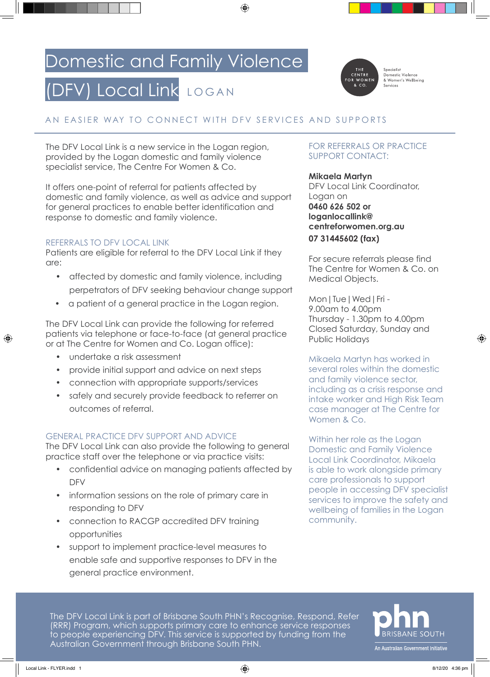### Domestic and Family Violence

## (DFV) Local Link LOGAN



Specialist<br>Domestic Violence & Women's Wellbeing

#### AN EASIER WAY TO CONNECT WITH DFV SERVICES AND SUPPORTS

The DFV Local Link is a new service in the Logan region, provided by the Logan domestic and family violence specialist service, The Centre For Women & Co.

It offers one-point of referral for patients affected by domestic and family violence, as well as advice and support for general practices to enable better identification and response to domestic and family violence.

#### REFERRALS TO DFV LOCAL LINK

Patients are eligible for referral to the DFV Local Link if they are:

- affected by domestic and family violence, including perpetrators of DFV seeking behaviour change support
- a patient of a general practice in the Logan region.

The DFV Local Link can provide the following for referred patients via telephone or face-to-face (at general practice or at The Centre for Women and Co. Logan office):

- undertake a risk assessment
- provide initial support and advice on next steps
- connection with appropriate supports/services
- safely and securely provide feedback to referrer on outcomes of referral.

#### GENERAL PRACTICE DFV SUPPORT AND ADVICE

The DFV Local Link can also provide the following to general practice staff over the telephone or via practice visits:

- confidential advice on managing patients affected by DFV
- information sessions on the role of primary care in responding to DFV
- connection to RACGP accredited DFV training opportunities
- support to implement practice-level measures to enable safe and supportive responses to DFV in the general practice environment.

#### FOR REFERRALS OR PRACTICE SUPPORT CONTACT:

#### **Mikaela Martyn**

DFV Local Link Coordinator, Logan on **0460 626 502 or loganlocallink@ centreforwomen.org.au 07 31445602 (fax)**

For secure referrals please find The Centre for Women & Co. on Medical Objects.

Mon|Tue|Wed|Fri - 9.00am to 4.00pm Thursday - 1.30pm to 4.00pm Closed Saturday, Sunday and Public Holidays

Mikaela Martyn has worked in several roles within the domestic and family violence sector, including as a crisis response and intake worker and High Risk Team case manager at The Centre for Women & Co.

Within her role as the Logan Domestic and Family Violence Local Link Coordinator, Mikaela is able to work alongside primary care professionals to support people in accessing DFV specialist services to improve the safety and wellbeing of families in the Logan community.

The DFV Local Link is part of Brisbane South PHN's Recognise, Respond, Refer (RRR) Program, which supports primary care to enhance service responses to people experiencing DFV. This service is supported by funding from the Australian Government through Brisbane South PHN.